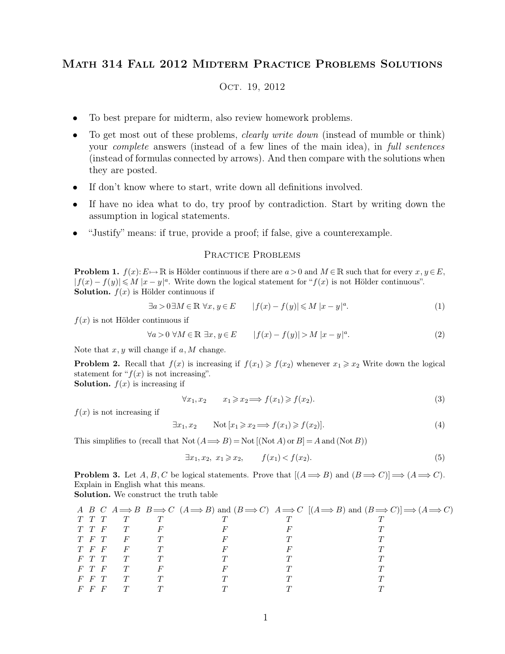# Math 314 Fall 2012 Midterm Practice Problems Solutions

## OCT. 19, 2012

- To best prepare for midterm, also review homework problems.
- To get most out of these problems, *clearly write down* (instead of mumble or think) your *complete* answers (instead of a few lines of the main idea), in *full sentences* (instead of formulas connected by arrows). And then compare with the solutions when they are posted.
- If don't know where to start, write down all definitions involved.
- If have no idea what to do, try proof by contradiction. Start by writing down the assumption in logical statements.
- "Justify" means: if true, provide a proof; if false, give a counterexample.

## PRACTICE PROBLEMS

**Problem 1.**  $f(x): E \to \mathbb{R}$  is Hölder continuous if there are  $a > 0$  and  $M \in \mathbb{R}$  such that for every  $x, y \in E$ ,  $|f(x) - f(y)| \leq M |x - y|^a$ . Write down the logical statement for " $f(x)$  is not Hölder continuous". **Solution.**  $f(x)$  is Hölder continuous if

$$
\exists a > 0 \exists M \in \mathbb{R} \,\,\forall x, y \in E \qquad |f(x) - f(y)| \leq M \,|x - y|^a. \tag{1}
$$

 $f(x)$  is not Hölder continuous if

$$
\forall a > 0 \ \forall M \in \mathbb{R} \ \exists x, y \in E \qquad |f(x) - f(y)| > M \ |x - y|^a. \tag{2}
$$

Note that  $x, y$  will change if  $a, M$  change.

**Problem 2.** Recall that  $f(x)$  is increasing if  $f(x_1) \ge f(x_2)$  whenever  $x_1 \ge x_2$  Write down the logical statement for " $f(x)$  is not increasing".

**Solution.**  $f(x)$  is increasing if

$$
\forall x_1, x_2 \qquad x_1 \geq x_2 \Longrightarrow f(x_1) \geq f(x_2). \tag{3}
$$

 $f(x)$  is not increasing if

$$
\exists x_1, x_2 \qquad \text{Not } [x_1 \geq x_2 \Longrightarrow f(x_1) \geq f(x_2)]. \tag{4}
$$

This simplifies to (recall that  $\text{Not} (A \Longrightarrow B) = \text{Not} [(\text{Not } A) \text{ or } B] = A$  and  $(\text{Not } B)$ )

$$
\exists x_1, x_2, x_1 \ge x_2, \qquad f(x_1) < f(x_2). \tag{5}
$$

**Problem 3.** Let A, B, C be logical statements. Prove that  $[(A \implies B)$  and  $(B \implies C)] \implies (A \implies C)$ . Explain in English what this means.

**Solution.** We construct the truth table

|             |         |                |   |        | A B C $A \implies B \implies C$ $(A \implies B)$ and $(B \implies C)$ $A \implies C$ $[(A \implies B)$ and $(B \implies C)] \implies (A \implies C)$ |
|-------------|---------|----------------|---|--------|------------------------------------------------------------------------------------------------------------------------------------------------------|
| T T T       |         |                |   | $\tau$ |                                                                                                                                                      |
|             |         | T T F T        | F |        |                                                                                                                                                      |
| $T$ F T     |         | F              |   |        |                                                                                                                                                      |
| $T$ F F     |         | $\overline{F}$ |   |        |                                                                                                                                                      |
| $F$ $T$ $T$ |         | T              |   |        |                                                                                                                                                      |
| F T F       |         | T              |   |        |                                                                                                                                                      |
| $F$ $F$ $T$ |         |                |   |        |                                                                                                                                                      |
|             | $F$ F F |                |   |        |                                                                                                                                                      |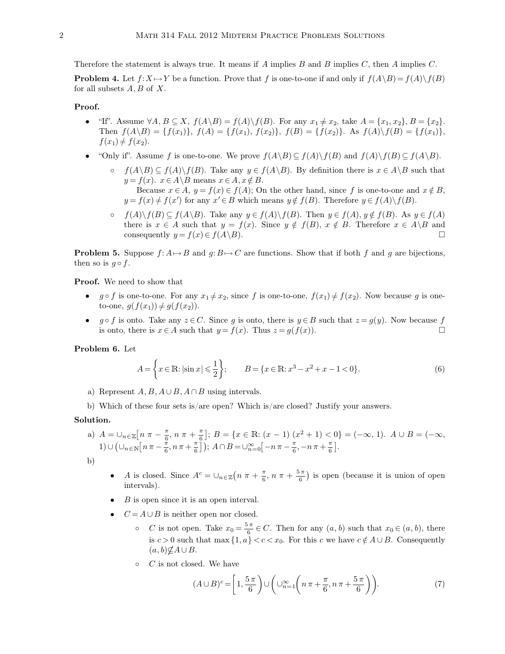Therefore the statement is always true. It means if A implies B and B implies  $C$ , then A implies  $C$ .

**Problem 4.** Let  $f: X \mapsto Y$  be a function. Prove that f is one-to-one if and only if  $f(A \setminus B) = f(A) \setminus f(B)$ for all subsets  $A, B$  of  $X$ .

## **Proof.**

- "If". Assume  $\forall A, B \subseteq X$ ,  $f(A \setminus B) = f(A) \setminus f(B)$ . For any  $x_1 \neq x_2$ , take  $A = \{x_1, x_2\}$ ,  $B = \{x_2\}$ . Then  $f(A \setminus B) = \{f(x_1)\}, f(A) = \{f(x_1), f(x_2)\}, f(B) = \{f(x_2)\}.$  As  $f(A) \setminus f(B) = \{f(x_1)\},$  $f(x_1) \neq f(x_2)$ .
- "Only if". Assume f is one-to-one. We prove  $f(A \setminus B) \subseteq f(A) \setminus f(B)$  and  $f(A) \setminus f(B) \subseteq f(A \setminus B)$ .
	- $f(A\ B) \subseteq f(A)\$  f(B). Take any  $y \in f(A\ B)$ . By definition there is  $x \in A\ B$  such that  $y = f(x)$ .  $x \in A \backslash B$  means  $x \in A, x \notin B$ . Because  $x \in A$ ,  $y = f(x) \in f(A)$ ; On the other hand, since f is one-to-one and  $x \notin B$ ,  $y = f(x) \neq f(x')$  for any  $x' \in B$  which means  $y \notin f(B)$ . Therefore  $y \in f(A) \setminus f(B)$ .
	- $f(A)\backslash f(B) \subseteq f(A\backslash B)$ . Take any  $y \in f(A)\backslash f(B)$ . Then  $y \in f(A)$ ,  $y \notin f(B)$ . As  $y \in f(A)$ there is  $x \in A$  such that  $y = f(x)$ . Since  $y \notin f(B)$ ,  $x \notin B$ . Therefore  $x \in A \setminus B$  and consequently  $y = f(x) \in f(A \setminus B)$ . consequently  $y = f(x) \in f(A \backslash B)$ .

**Problem 5.** Suppose  $f: A \mapsto B$  and  $g: B \mapsto C$  are functions. Show that if both f and g are bijections, then so is  $g \circ f$ .

**Proof.** We need to show that

- $g \circ f$  is one-to-one. For any  $x_1 \neq x_2$ , since f is one-to-one,  $f(x_1) \neq f(x_2)$ . Now because g is oneto-one,  $g(f(x_1)) \neq g(f(x_2))$ .
- $g \circ f$  is onto. Take any  $z \in C$ . Since g is onto, there is  $y \in B$  such that  $z = g(y)$ . Now because f is onto, there is  $x \in A$  such that  $y = f(x)$ . Thus  $z = g(f(x))$ . is onto, there is  $x \in A$  such that  $y = f(x)$ . Thus  $z = g(f(x))$ .

**Problem 6.** Let

$$
A = \left\{ x \in \mathbb{R} : |\sin x| \leqslant \frac{1}{2} \right\}; \qquad B = \left\{ x \in \mathbb{R} : x^3 - x^2 + x - 1 < 0 \right\}. \tag{6}
$$

- a) Represent  $A, B, A \cup B, A \cap B$  using intervals.
- b) Which of these four sets is/are open? Which is/are closed? Justify your answers.

### **Solution.**

a)  $A = \bigcup_{n \in \mathbb{Z}} \left[ n \pi - \frac{\pi}{6} \right]$  $\frac{\pi}{6}$ ,  $n \pi + \frac{\pi}{6}$  $\frac{\pi}{6}$ ;  $B = \{x \in \mathbb{R} : (x - 1)(x^2 + 1) < 0\} = (-\infty, 1).$   $A \cup B = (-\infty, 1)$  $1) \cup (\cup_{n \in \mathbb{N}} [n \pi - \frac{\pi}{6}]$  $\frac{\pi}{6}$ ,  $n\pi + \frac{\pi}{6}$  $\left( \frac{\pi}{6} \right)$ );  $A \cap B = \cup_{n=0}^{\infty} \left[ -n \pi - \frac{\pi}{6} \right]$  $\frac{\pi}{6}, -n\pi + \frac{\pi}{6}$  $\frac{\pi}{6}$ .

b)

- A is closed. Since  $A^c = \bigcup_{n \in \mathbb{Z}} \left( n \pi + \frac{\pi}{6} \right)$  $\frac{\pi}{6}$ ,  $n \pi + \frac{5\pi}{6}$  $\left(\frac{\pi}{6}\right)$  is open (because it is union of open intervals).
- $B$  is open since it is an open interval.
- $C = A \cup B$  is neither open nor closed.
	- $\circ$  *C* is not open. Take  $x_0 = \frac{5\pi}{6}$  $\frac{\pi}{6} \in C$ . Then for any  $(a, b)$  such that  $x_0 \in (a, b)$ , there is  $c > 0$  such that max  $\{1, a\} < c < x_0$ . For this c we have  $c \notin A \cup B$ . Consequently  $(a, b) \not\subseteq A \cup B$ .
	- $\circ$  *C* is not closed. We have

$$
(A \cup B)^c = \left[1, \frac{5\pi}{6}\right) \cup \left(\bigcup_{n=1}^{\infty} \left(n\pi + \frac{\pi}{6}, n\pi + \frac{5\pi}{6}\right)\right). \tag{7}
$$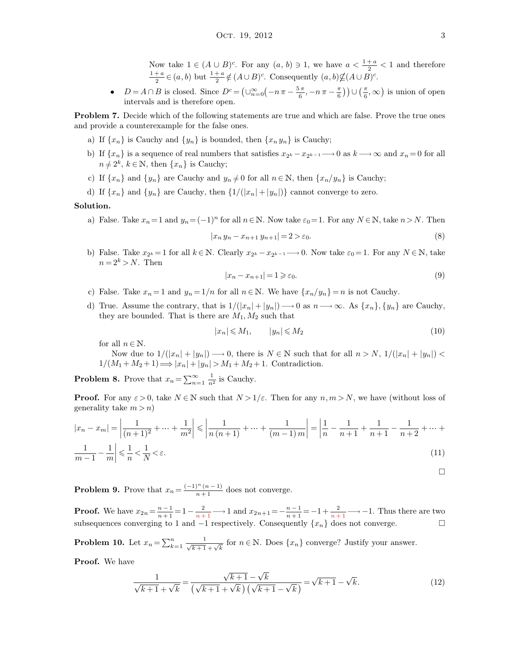Now take  $1 \in (A \cup B)^c$ . For any  $(a, b) \ni 1$ , we have  $a < \frac{1+a}{2} < 1$  and therefore  $1 + a$  $\frac{1+a}{2} \in (a, b)$  but  $\frac{1+a}{2} \notin (A \cup B)^c$ . Consequently  $(a, b) \nsubseteq (A \cup B)^c$ .

•  $D = A \cap B$  is closed. Since  $D^c = \left(\bigcup_{n=0}^{\infty} \left(-n\pi - \frac{5\pi}{6}\right)\right)$  $\frac{\pi}{6}, -n\pi-\frac{\pi}{6}$  $\left(\frac{\pi}{6}\right)\right)\cup\left(\frac{\pi}{6},\infty\right)$  is union of open intervals and is therefore open.

**Problem 7.** Decide which of the following statements are true and which are false. Prove the true ones and provide a counterexample for the false ones.

- a) If  $\{x_n\}$  is Cauchy and  $\{y_n\}$  is bounded, then  $\{x_n y_n\}$  is Cauchy;
- b) If  $\{x_n\}$  is a sequence of real numbers that satisfies  $x_{2^k} x_{2^{k-1}} \longrightarrow 0$  as  $k \longrightarrow \infty$  and  $x_n = 0$  for all  $n \neq 2^k$ ,  $k \in \mathbb{N}$ , then  $\{x_n\}$  is Cauchy;
- c) If  $\{x_n\}$  and  $\{y_n\}$  are Cauchy and  $y_n \neq 0$  for all  $n \in \mathbb{N}$ , then  $\{x_n/y_n\}$  is Cauchy;
- d) If  $\{x_n\}$  and  $\{y_n\}$  are Cauchy, then  $\{1/(|x_n|+|y_n|)\}$  cannot converge to zero.

### **Solution.**

a) False. Take  $x_n=1$  and  $y_n=(-1)^n$  for all  $n\in\mathbb{N}$ . Now take  $\varepsilon_0=1$ . For any  $N\in\mathbb{N}$ , take  $n>N$ . Then

$$
|x_n y_n - x_{n+1} y_{n+1}| = 2 > \varepsilon_0.
$$
\n(8)

b) False. Take  $x_{2^k} = 1$  for all  $k \in \mathbb{N}$ . Clearly  $x_{2^k} - x_{2^{k-1}} \longrightarrow 0$ . Now take  $\varepsilon_0 = 1$ . For any  $N \in \mathbb{N}$ , take  $n = 2<sup>k</sup> > N$ . Then

$$
|x_n - x_{n+1}| = 1 \ge \varepsilon_0. \tag{9}
$$

- c) False. Take  $x_n = 1$  and  $y_n = 1/n$  for all  $n \in \mathbb{N}$ . We have  $\{x_n/y_n\} = n$  is not Cauchy.
- d) True. Assume the contrary, that is  $1/(|x_n|+|y_n|) \longrightarrow 0$  as  $n \longrightarrow \infty$ . As  $\{x_n\}, \{y_n\}$  are Cauchy, they are bounded. That is there are  $M_1, M_2$  such that

$$
|x_n| \le M_1, \qquad |y_n| \le M_2 \tag{10}
$$

for all  $n \in \mathbb{N}$ .

Now due to  $1/(|x_n|+|y_n|) \longrightarrow 0$ , there is  $N \in \mathbb{N}$  such that for all  $n > N$ ,  $1/(|x_n|+|y_n|)$  $1/(M_1 + M_2 + 1) \Longrightarrow |x_n| + |y_n| > M_1 + M_2 + 1$ . Contradiction.

**Problem 8.** Prove that  $x_n = \sum_{n=1}^{\infty} \frac{1}{n^2}$  is Cauchy.

**Proof.** For any  $\varepsilon > 0$ , take  $N \in \mathbb{N}$  such that  $N > 1/\varepsilon$ . Then for any  $n, m > N$ , we have (without loss of generality take  $m > n$ )

$$
|x_n - x_m| = \left| \frac{1}{(n+1)^2} + \dots + \frac{1}{m^2} \right| \le \left| \frac{1}{n(n+1)} + \dots + \frac{1}{(m-1)m} \right| = \left| \frac{1}{n} - \frac{1}{n+1} + \frac{1}{n+1} - \frac{1}{n+2} + \dots + \frac{1}{m-1} - \frac{1}{m} \right| \le \frac{1}{n} < \frac{1}{\sqrt{n}} < \varepsilon. \tag{11}
$$

 $\Box$ 

**Problem 9.** Prove that  $x_n = \frac{(-1)^n (n-1)}{n+1}$  does not converge.

**Proof.** We have  $x_{2n} = \frac{n-1}{n+1} = 1 - \frac{2}{n+1} \longrightarrow 1$  and  $x_{2n+1} = -\frac{n-1}{n+1} = -1 + \frac{2}{n+1} \longrightarrow -1$ . Thus there are two subsequences converging to 1 and  $-1$  respectively. Consequently  $\{x_n\}$  does not converge.  $\Box$ 

**Problem 10.** Let  $x_n = \sum_{k=1}^n$  $\frac{n}{k+1}$   $\frac{1}{\sqrt{k+1} + \sqrt{k}}$  for  $n \in \mathbb{N}$ . Does  $\{x_n\}$  converge? Justify your answer.

**Proof.** We have

$$
\frac{1}{\sqrt{k+1} + \sqrt{k}} = \frac{\sqrt{k+1} - \sqrt{k}}{\left(\sqrt{k+1} + \sqrt{k}\right)\left(\sqrt{k+1} - \sqrt{k}\right)} = \sqrt{k+1} - \sqrt{k}.
$$
\n(12)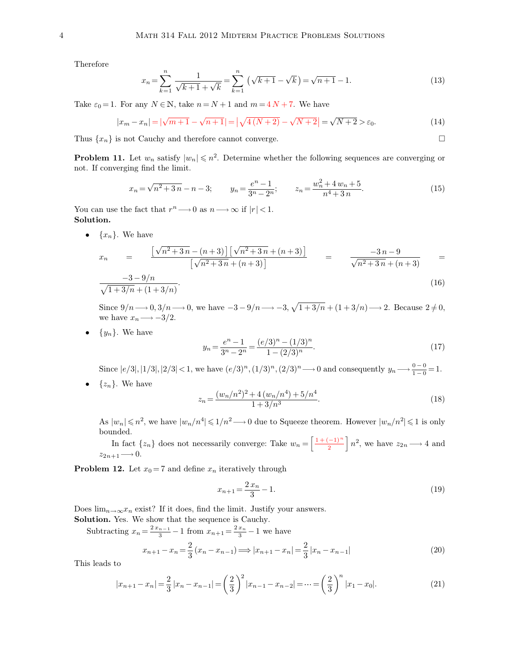Therefore

$$
x_n = \sum_{k=1}^n \frac{1}{\sqrt{k+1} + \sqrt{k}} = \sum_{k=1}^n \left( \sqrt{k+1} - \sqrt{k} \right) = \sqrt{n+1} - 1.
$$
 (13)

Take  $\varepsilon_0 = 1$ . For any  $N \in \mathbb{N}$ , take  $n = N + 1$  and  $m = 4N + 7$ . We have

$$
|x_m - x_n| = |\sqrt{m+1} - \sqrt{n+1}| = |\sqrt{4(N+2)} - \sqrt{N+2}| = \sqrt{N+2} > \varepsilon_0.
$$
 (14)

Thus  $\{x_n\}$  is not Cauchy and therefore cannot converge.

**Problem 11.** Let  $w_n$  satisfy  $|w_n| \leq n^2$ . Determine whether the following sequences are converging or not. If converging find the limit.

$$
x_n = \sqrt{n^2 + 3n} - n - 3; \qquad y_n = \frac{e^n - 1}{3^n - 2^n}; \qquad z_n = \frac{w_n^2 + 4w_n + 5}{n^4 + 3n}.
$$
 (15)

You can use the fact that  $r^n \longrightarrow 0$  as  $n \longrightarrow \infty$  if  $|r| < 1$ . **Solution.**

•  $\{x_n\}$ . We have

$$
x_n = \frac{\left[\sqrt{n^2+3n} - (n+3)\right] \left[\sqrt{n^2+3n} + (n+3)\right]}{\left[\sqrt{n^2+3n} + (n+3)\right]} = \frac{-3n-9}{\sqrt{n^2+3n} + (n+3)} = -3-9/n
$$
\n
$$
\frac{-3-9/n}{\sqrt{1+3/n} + (1+3/n)}.
$$
\n(16)

Since  $9/n \rightarrow 0, 3/n \rightarrow 0$ , we have  $-3 - 9/n \rightarrow -3, \sqrt{1 + 3/n} + (1 + 3/n) \rightarrow 2$ . Because  $2 \neq 0$ , we have  $x_n \longrightarrow -3/2$ .

•  $\{y_n\}$ . We have

$$
y_n = \frac{e^n - 1}{3^n - 2^n} = \frac{(e/3)^n - (1/3)^n}{1 - (2/3)^n}.
$$
\n(17)

Since  $|e/3|, |1/3|, |2/3| < 1$ , we have  $(e/3)^n, (1/3)^n, (2/3)^n \longrightarrow 0$  and consequently  $y_n \longrightarrow \frac{0-0}{1-0} = 1$ .

•  $\{z_n\}$ . We have

$$
z_n = \frac{(w_n/n^2)^2 + 4\left(w_n/n^4\right) + 5/n^4}{1 + 3/n^3}.\tag{18}
$$

As  $|w_n| \leqslant n^2$ , we have  $|w_n/n^4| \leqslant 1/n^2 \longrightarrow 0$  due to Squeeze theorem. However  $|w_n/n^2| \leqslant 1$  is only bounded.

In fact  $\{z_n\}$  does not necessarily converge: Take  $w_n = \left[\frac{1+(-1)^n}{2}\right] n^2$ , we have  $z_{2n} \longrightarrow 4$  and  $z_{2n+1} \longrightarrow 0.$ 

**Problem 12.** Let  $x_0 = 7$  and define  $x_n$  iteratively through

$$
x_{n+1} = \frac{2x_n}{3} - 1.\tag{19}
$$

Does  $\lim_{n\to\infty}x_n$  exist? If it does, find the limit. Justify your answers.

**Solution.** Yes. We show that the sequence is Cauchy.

Subtracting  $x_n = \frac{2x_{n-1}}{3}$  $\frac{n-1}{3} - 1$  from  $x_{n+1} = \frac{2x_n}{3}$  $\frac{x_n}{3} - 1$  we have  $x_{n+1} - x_n = \frac{2}{3}$  $\frac{2}{3}(x_n - x_{n-1}) \Longrightarrow |x_{n+1} - x_n| = \frac{2}{3}$  $\frac{2}{3}|x_n - x_{n-1}|$  (20)

This leads to

$$
|x_{n+1} - x_n| = \frac{2}{3} |x_n - x_{n-1}| = \left(\frac{2}{3}\right)^2 |x_{n-1} - x_{n-2}| = \dots = \left(\frac{2}{3}\right)^n |x_1 - x_0|.
$$
 (21)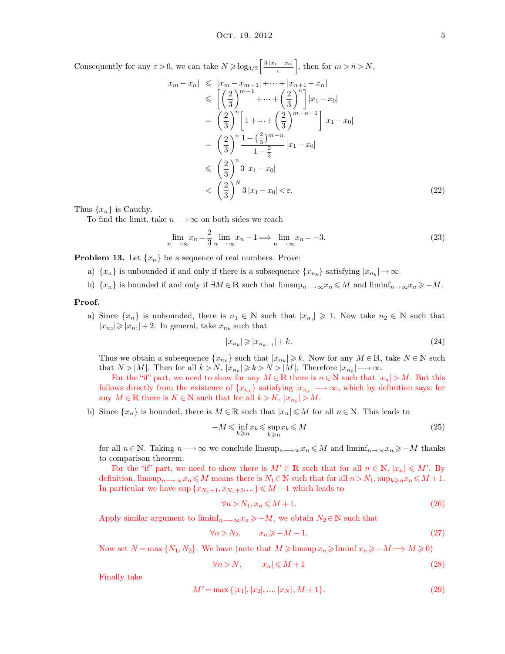Consequently for any  $\varepsilon > 0$ , we can take  $N \geqslant \log_{3/2} \left[ \frac{3|x_1 - x_0|}{\varepsilon} \right]$ , then for  $m > n > N$ ,

$$
|x_m - x_n| \le |x_m - x_{m-1}| + \dots + |x_{n+1} - x_n|
$$
  
\n
$$
\le \left[ \left( \frac{2}{3} \right)^{m-1} + \dots + \left( \frac{2}{3} \right)^n \right] |x_1 - x_0|
$$
  
\n
$$
= \left( \frac{2}{3} \right)^n \left[ 1 + \dots + \left( \frac{2}{3} \right)^{m-n-1} \right] |x_1 - x_0|
$$
  
\n
$$
= \left( \frac{2}{3} \right)^n \frac{1 - \left( \frac{2}{3} \right)^{m-n}}{1 - \frac{2}{3}} |x_1 - x_0|
$$
  
\n
$$
\le \left( \frac{2}{3} \right)^n 3 |x_1 - x_0|
$$
  
\n
$$
< \left( \frac{2}{3} \right)^N 3 |x_1 - x_0| < \varepsilon.
$$
 (22)

Thus  $\{x_n\}$  is Cauchy.

To find the limit, take  $n \longrightarrow \infty$  on both sides we reach

$$
\lim_{n \to \infty} x_n = \frac{2}{3} \lim_{n \to \infty} x_n - 1 \Longrightarrow \lim_{n \to \infty} x_n = -3. \tag{23}
$$

**Problem 13.** Let  $\{x_n\}$  be a sequence of real numbers. Prove:

- a)  $\{x_n\}$  is unbounded if and only if there is a subsequence  $\{x_{n_k}\}$  satisfying  $|x_{n_k}| \to \infty$ .
- b)  $\{x_n\}$  is bounded if and only if  $\exists M \in \mathbb{R}$  such that  $\limsup_{n \to \infty} x_n \leq M$  and  $\liminf_{n \to \infty} x_n \geq -M$ .

## **Proof.**

a) Since  $\{x_n\}$  is unbounded, there is  $n_1 \in \mathbb{N}$  such that  $|x_{n_1}| \geq 1$ . Now take  $n_2 \in \mathbb{N}$  such that  $|x_{n_2}| \geqslant |x_{n_1}| + 2$ . In general, take  $x_{n_k}$  such that

$$
|x_{n_k}| \geqslant |x_{n_{k-1}}| + k. \tag{24}
$$

Thus we obtain a subsequence  $\{x_{n_k}\}$  such that  $|x_{n_k}| \geq k$ . Now for any  $M \in \mathbb{R}$ , take  $N \in \mathbb{N}$  such that  $N > |M|$ . Then for all  $k > N$ ,  $|x_{n_k}| \geq k > N > |M|$ . Therefore  $|x_{n_k}| \longrightarrow \infty$ .

For the "if" part, we need to show for any  $M \in \mathbb{R}$  there is  $n \in \mathbb{N}$  such that  $|x_n| > M$ . But this follows directly from the existence of  $\{x_{n_k}\}\$  satisfying  $|x_{n_k}| \longrightarrow \infty$ , which by definition says: for any  $M \in \mathbb{R}$  there is  $K \in \mathbb{N}$  such that for all  $k > K$ ,  $|x_{n_k}| > M$ .

b) Since  $\{x_n\}$  is bounded, there is  $M \in \mathbb{R}$  such that  $|x_n| \leq M$  for all  $n \in \mathbb{N}$ . This leads to

$$
-M \leqslant \inf_{k \geqslant n} x_k \leqslant \sup_{k \geqslant n} x_k \leqslant M \tag{25}
$$

for all  $n \in \mathbb{N}$ . Taking  $n \longrightarrow \infty$  we conclude limsup $n \longrightarrow \infty$  $n \leq M$  and liminf $n \longrightarrow \infty$  $n \geq -M$  thanks to comparison theorem.

For the "if" part, we need to show there is  $M' \in \mathbb{R}$  such that for all  $n \in \mathbb{N}$ ,  $|x_n| \leq M'$ . By definition,  $\limsup_{n\to\infty}x_n\leqslant M$  means there is  $N_1\in\mathbb{N}$  such that for all  $n>N_1$ ,  $\sup_{k\geqslant n}x_n\leqslant M+1$ . In particular we have sup  $\{x_{N_1+1}, x_{N_1+2}, ...\} \leqslant M+1$  which leads to

$$
\forall n > N_1, x_n \le M + 1. \tag{26}
$$

Apply similar argument to  $\liminf_{n\to\infty}x_n\geq -M$ , we obtain  $N_2\in\mathbb{N}$  such that

$$
\forall n > N_2, \qquad x_n \geq -M - 1. \tag{27}
$$

Now set  $N = \max\{N_1, N_2\}$ . We have (note that  $M \geqslant \limsup x_n \geqslant \liminf x_n \geqslant -M \Longrightarrow M \geqslant 0$ )

$$
\forall n > N, \qquad |x_n| \leq M + 1 \tag{28}
$$

Finally take

$$
M' = \max\{|x_1|, |x_2|, \dots, |x_N|, M+1\}.
$$
\n(29)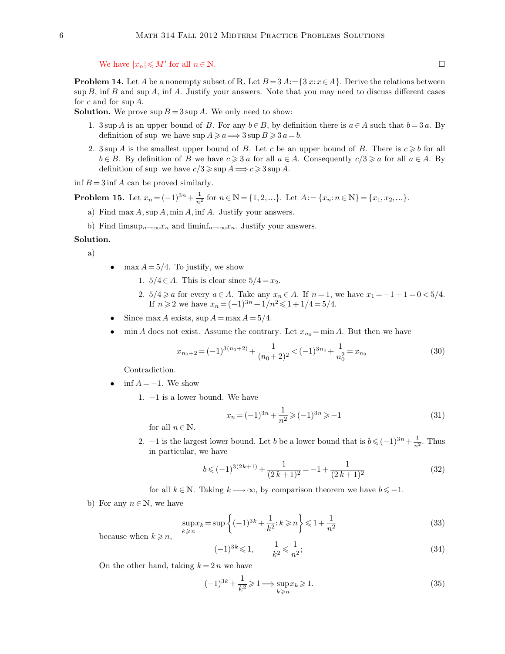We have  $|x_n| \le M'$  for all  $n \in \mathbb{N}$ .

**Problem 14.** Let A be a nonempty subset of R. Let  $B = 3$  A:  $= \{3 x : x \in A\}$ . Derive the relations between  $\sup B$ , inf B and sup A, inf A. Justify your answers. Note that you may need to discuss different cases for c and for sup A.

**Solution.** We prove  $\sup B = 3 \sup A$ . We only need to show:

- 1. 3 sup A is an upper bound of B. For any  $b \in B$ , by definition there is  $a \in A$  such that  $b = 3a$ . By definition of sup we have  $\sup A \geq a \Longrightarrow 3 \sup B \geq 3 a = b$ .
- 2. 3 sup A is the smallest upper bound of B. Let c be an upper bound of B. There is  $c \geq b$  for all  $b \in B$ . By definition of B we have  $c \geqslant 3$  a for all  $a \in A$ . Consequently  $c/3 \geqslant a$  for all  $a \in A$ . By definition of sup we have  $c/3 \geqslant \sup A \Longrightarrow c \geqslant 3 \sup A$ .

inf  $B = 3$  inf A can be proved similarly.

**Problem 15.** Let  $x_n = (-1)^{3n} + \frac{1}{n^2}$  $\frac{1}{n^2}$  for  $n \in \mathbb{N} = \{1, 2, ...\}$ . Let  $A := \{x_n : n \in \mathbb{N}\} = \{x_1, x_2, ...\}$ .

- a) Find max  $A$ , sup  $A$ , min  $A$ , inf  $A$ . Justify your answers.
- b) Find limsup $_{n\to\infty}x_n$  and liminf $_{n\to\infty}x_n$ . Justify your answers.

## **Solution.**

a)

- max  $A = 5/4$ . To justify, we show
	- 1.  $5/4 \in A$ . This is clear since  $5/4 = x_2$ .
	- 2.  $5/4 \ge a$  for every  $a \in A$ . Take any  $x_n \in A$ . If  $n = 1$ , we have  $x_1 = -1 + 1 = 0 < 5/4$ . If  $n \ge 2$  we have  $x_n = (-1)^{3n} + 1/n^2 \le 1 + 1/4 = 5/4$ .
- Since max A exists,  $\sup A = \max A = 5/4$ .
- $\min A$  does not exist. Assume the contrary. Let  $x_{n_0} = \min A$ . But then we have

$$
x_{n_0+2} = (-1)^{3(n_0+2)} + \frac{1}{(n_0+2)^2} < (-1)^{3n_0} + \frac{1}{n_0^2} = x_{n_0}
$$
\n(30)

Contradiction.

- $\inf A = -1$ . We show
	- 1. −1 is a lower bound. We have

$$
x_n = (-1)^{3n} + \frac{1}{n^2} \ge (-1)^{3n} \ge -1
$$
\n(31)

for all  $n \in \mathbb{N}$ .

2. −1 is the largest lower bound. Let b be a lower bound that is  $b \leqslant (-1)^{3n} + \frac{1}{n^2}$  $\frac{1}{n^2}$ . Thus in particular, we have

$$
b \leqslant (-1)^{3(2k+1)} + \frac{1}{(2k+1)^2} = -1 + \frac{1}{(2k+1)^2}
$$
\n<sup>(32)</sup>

for all  $k \in \mathbb{N}$ . Taking  $k \longrightarrow \infty$ , by comparison theorem we have  $b \leq -1$ .

b) For any  $n \in \mathbb{N}$ , we have

$$
\sup_{k \ge n} x_k = \sup \left\{ (-1)^{3k} + \frac{1}{k^2} : k \ge n \right\} \le 1 + \frac{1}{n^2}
$$
\n(33)

because when  $k \geq n$ ,

$$
(-1)^{3k} \leq 1, \qquad \frac{1}{k^2} \leq \frac{1}{n^2};\tag{34}
$$

On the other hand, taking  $k = 2n$  we have

$$
(-1)^{3k} + \frac{1}{k^2} \geqslant 1 \Longrightarrow \sup_{k \geqslant n} x_k \geqslant 1. \tag{35}
$$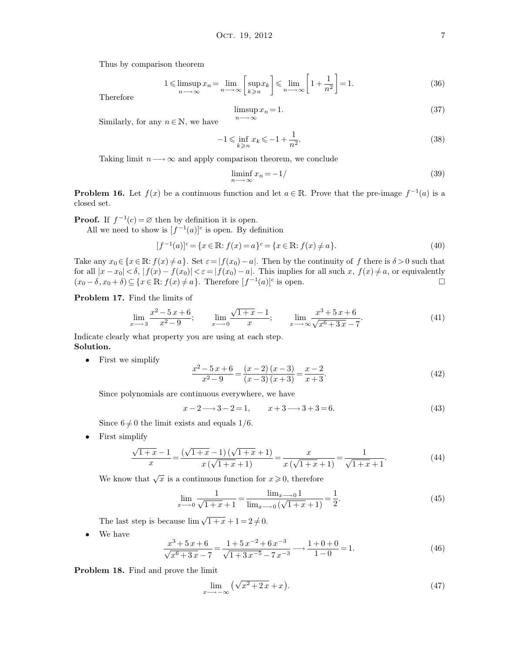Thus by comparison theorem

$$
1 \leq \limsup_{n \to \infty} x_n = \lim_{n \to \infty} \left[ \sup_{k \geq n} x_k \right] \leq \lim_{n \to \infty} \left[ 1 + \frac{1}{n^2} \right] = 1. \tag{36}
$$

Therefore

$$
\limsup_{n \to \infty} x_n = 1. \tag{37}
$$

Similarly, for any  $n \in \mathbb{N}$ , we have

$$
-1 \leqslant \inf_{k \geqslant n} x_k \leqslant -1 + \frac{1}{n^2}.\tag{38}
$$

Taking limit  $n \longrightarrow \infty$  and apply comparison theorem, we conclude

$$
\liminf_{n \to \infty} x_n = -1 \tag{39}
$$

**Problem 16.** Let  $f(x)$  be a continuous function and let  $a \in \mathbb{R}$ . Prove that the pre-image  $f^{-1}(a)$  is a closed set.

**Proof.** If  $f^{-1}(c) = \emptyset$  then by definition it is open.

All we need to show is  $[f^{-1}(a)]^c$  is open. By definition

$$
[f^{-1}(a)]^{c} = \{x \in \mathbb{R} : f(x) = a\}^{c} = \{x \in \mathbb{R} : f(x) \neq a\}.
$$
\n(40)

Take any  $x_0 \in \{x \in \mathbb{R} : f(x) \neq a\}$ . Set  $\varepsilon = |f(x_0) - a|$ . Then by the continuity of f there is  $\delta > 0$  such that for all  $|x-x_0| < \delta$ ,  $|f(x) - f(x_0)| < \varepsilon = |f(x_0) - a|$ . This implies for all such  $x, f(x) \neq a$ , or equivalently  $(x_0 - \delta, x_0 + \delta) \subseteq \{x \in \mathbb{R} : f(x) \neq a\}.$  Therefore  $[f^{-1}(a)]^c$  is open.

**Problem 17.** Find the limits of

$$
\lim_{x \to 3} \frac{x^2 - 5x + 6}{x^2 - 9}; \qquad \lim_{x \to 0} \frac{\sqrt{1 + x} - 1}{x}; \qquad \lim_{x \to \infty} \frac{x^3 + 5x + 6}{\sqrt{x^6 + 3x - 7}}.
$$
\n(41)

Indicate clearly what property you are using at each step. **Solution.**

• First we simplify

$$
\frac{x^2 - 5x + 6}{x^2 - 9} = \frac{(x - 2)(x - 3)}{(x - 3)(x + 3)} = \frac{x - 2}{x + 3}.
$$
\n(42)

Since polynomials are continuous everywhere, we have

 $x-2 \longrightarrow 3-2=1$ ,  $x+3 \longrightarrow 3+3=6.$  (43)

Since  $6 \neq 0$  the limit exists and equals  $1/6$ .

• First simplify

$$
\frac{\sqrt{1+x}-1}{x} = \frac{(\sqrt{1+x}-1)(\sqrt{1+x}+1)}{x(\sqrt{1+x}+1)} = \frac{x}{x(\sqrt{1+x}+1)} = \frac{1}{\sqrt{1+x}+1}.
$$
(44)

We know that  $\sqrt{x}$  is a continuous function for  $x \geqslant 0$ , therefore

$$
\lim_{x \to 0} \frac{1}{\sqrt{1+x}+1} = \frac{\lim_{x \to 0} 1}{\lim_{x \to 0} (\sqrt{1+x}+1)} = \frac{1}{2}.
$$
\n(45)

The last step is because  $\lim \sqrt{1 + x} + 1 = 2 \neq 0$ .

We have

$$
\frac{x^3 + 5x + 6}{\sqrt{x^6 + 3x - 7}} = \frac{1 + 5x^{-2} + 6x^{-3}}{\sqrt{1 + 3x^{-5} - 7x^{-3}}} \longrightarrow \frac{1 + 0 + 0}{1 - 0} = 1.
$$
\n(46)

**Problem 18.** Find and prove the limit

$$
\lim_{x \to -\infty} \left( \sqrt{x^2 + 2x} + x \right). \tag{47}
$$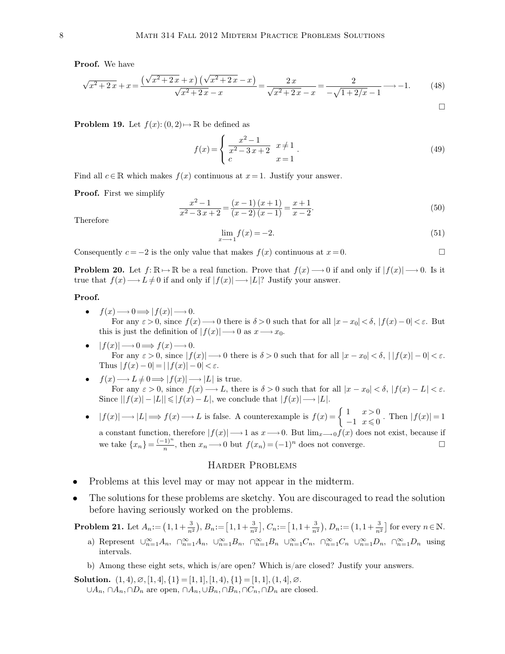**Proof.** We have

$$
\sqrt{x^2 + 2x} + x = \frac{(\sqrt{x^2 + 2x} + x)(\sqrt{x^2 + 2x} - x)}{\sqrt{x^2 + 2x} - x} = \frac{2x}{\sqrt{x^2 + 2x} - x} = \frac{2}{-\sqrt{1 + 2/x} - 1} \longrightarrow -1. \tag{48}
$$

**Problem 19.** Let  $f(x): (0, 2) \mapsto \mathbb{R}$  be defined as

$$
f(x) = \begin{cases} \frac{x^2 - 1}{x^2 - 3x + 2} & x \neq 1 \\ c & x = 1 \end{cases}.
$$
 (49)

 $\Box$ 

Find all  $c \in \mathbb{R}$  which makes  $f(x)$  continuous at  $x = 1$ . Justify your answer.

**Proof.** First we simplify

$$
\frac{x^2 - 1}{x^2 - 3x + 2} = \frac{(x - 1)(x + 1)}{(x - 2)(x - 1)} = \frac{x + 1}{x - 2}.
$$
\n(50)

Therefore

$$
\lim_{x \to -1} f(x) = -2. \tag{51}
$$

Consequently  $c = -2$  is the only value that makes  $f(x)$  continuous at  $x = 0$ .

**Problem 20.** Let  $f: \mathbb{R} \to \mathbb{R}$  be a real function. Prove that  $f(x) \to 0$  if and only if  $|f(x)| \to 0$ . Is it true that  $f(x) \longrightarrow L \neq 0$  if and only if  $|f(x)| \longrightarrow |L|$ ? Justify your answer.

#### **Proof.**

- $f(x) \longrightarrow 0 \Longrightarrow |f(x)| \longrightarrow 0.$ For any  $\varepsilon > 0$ , since  $f(x) \longrightarrow 0$  there is  $\delta > 0$  such that for all  $|x - x_0| < \delta$ ,  $|f(x) - 0| < \varepsilon$ . But this is just the definition of  $|f(x)| \longrightarrow 0$  as  $x \longrightarrow x_0$ .
- $|f(x)| \longrightarrow 0 \Longrightarrow f(x) \longrightarrow 0.$ For any  $\varepsilon > 0$ , since  $|f(x)| \longrightarrow 0$  there is  $\delta > 0$  such that for all  $|x - x_0| < \delta$ ,  $||f(x)| - 0| < \varepsilon$ . Thus  $|f(x) - 0| = | |f(x)| - 0| < \varepsilon$ .
- $f(x) \longrightarrow L \neq 0 \Longrightarrow |f(x)| \longrightarrow |L|$  is true. For any  $\varepsilon > 0$ , since  $f(x) \longrightarrow L$ , there is  $\delta > 0$  such that for all  $|x - x_0| < \delta$ ,  $|f(x) - L| < \varepsilon$ . Since  $||f(x)| - |L|| \leq |f(x) - L|$ , we conclude that  $|f(x)| \longrightarrow |L|$ .
- $|f(x)| \longrightarrow |L| \Longrightarrow f(x) \longrightarrow L$  is false. A counterexample is  $f(x) = \begin{cases} 1 & x > 0 \\ -1 & x \le 0 \end{cases}$  $\begin{aligned} \n\frac{1}{-1} \quad & \frac{x}{x} \leq 0 \quad \text{Then} \ |f(x)| = 1. \n\end{aligned}$ a constant function, therefore  $|f(x)| \longrightarrow 1$  as  $x \longrightarrow 0$ . But  $\lim_{x\longrightarrow 0} f(x)$  does not exist, because if we take  $\{x_n\} = \frac{(-1)^n}{n}$ , then  $x_n \longrightarrow 0$  but  $f(x_n) = (-1)^n$  does not converge.

## Harder Problems

- Problems at this level may or may not appear in the midterm.
- The solutions for these problems are sketchy. You are discouraged to read the solution before having seriously worked on the problems.

**Problem 21.** Let  $A_n := (1, 1+\frac{3}{n^2}), B_n := [1, 1+\frac{3}{n^2}], C_n := [1, 1+\frac{3}{n^2}), D_n := (1, 1+\frac{3}{n^2})$  for every  $n \in \mathbb{N}$ .

- a) Represent  $\cup_{n=1}^{\infty} A_n$ ,  $\cap_{n=1}^{\infty} A_n$ ,  $\cup_{n=1}^{\infty} B_n$ ,  $\cap_{n=1}^{\infty} B_n$   $\cup_{n=1}^{\infty} C_n$ ,  $\cap_{n=1}^{\infty} D_n$ ,  $\cap_{n=1}^{\infty} D_n$  using intervals.
- b) Among these eight sets, which is/are open? Which is/are closed? Justify your answers.

**Solution.**  $(1, 4), \emptyset, [1, 4], \{1\} = [1, 1], [1, 4), \{1\} = [1, 1], (1, 4], \emptyset.$ ∪ $A_n$ , ∩ $A_n$ , ∩ $D_n$  are open, ∩ $A_n$ , ∪ $B_n$ , ∩ $B_n$ , ∩ $C_n$ , ∩ $D_n$  are closed.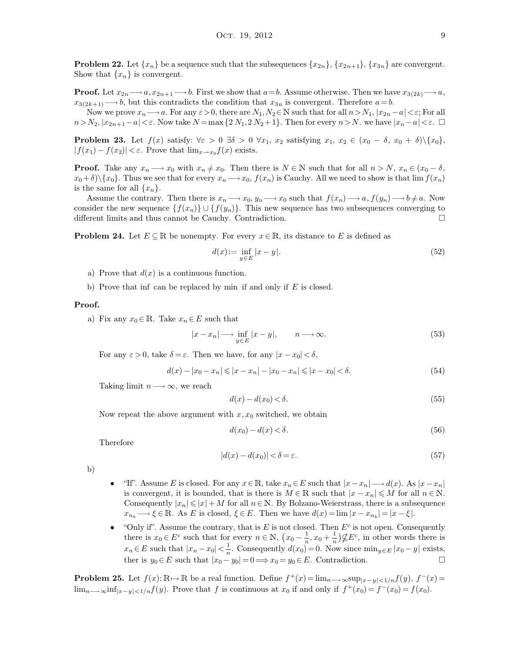**Problem 22.** Let  $\{x_n\}$  be a sequence such that the subsequences  $\{x_{2n}\}, \{x_{2n+1}\}, \{x_{3n}\}$  are convergent. Show that  $\{x_n\}$  is convergent.

**Proof.** Let  $x_{2n} \rightarrow a$ ,  $x_{2n+1} \rightarrow b$ . First we show that  $a=b$ . Assume otherwise. Then we have  $x_{3(2k)} \rightarrow a$ ,  $x_{3(2k+1)} \longrightarrow b$ , but this contradicts the condition that  $x_{3n}$  is convergent. Therefore  $a = b$ .

Now we prove  $x_n \longrightarrow a$ . For any  $\varepsilon > 0$ , there are  $N_1, N_2 \in \mathbb{N}$  such that for all  $n > N_1$ ,  $|x_{2n}-a| < \varepsilon$ ; For all  $n>N_2, |x_{2n+1}-a|<\varepsilon$ . Now take  $N = \max\{2N_1, 2N_2+1\}$ . Then for every  $n > N$ . we have  $|x_n-a|<\varepsilon$ .  $\square$ 

**Problem 23.** Let  $f(x)$  satisfy:  $\forall \varepsilon > 0 \ \exists \delta > 0 \ \forall x_1, x_2$  satisfying  $x_1, x_2 \in (x_0 - \delta, x_0 + \delta) \setminus \{x_0\},\$  $|f(x_1) - f(x_2)| < \varepsilon$ . Prove that  $\lim_{x\to x_0} f(x)$  exists.

**Proof.** Take any  $x_n \longrightarrow x_0$  with  $x_n \neq x_0$ . Then there is  $N \in \mathbb{N}$  such that for all  $n > N$ ,  $x_n \in (x_0 - \delta,$  $x_0+\delta\$ , Thus we see that for every  $x_n \longrightarrow x_0$ ,  $f(x_n)$  is Cauchy. All we need to show is that  $\lim f(x_n)$ is the same for all  $\{x_n\}$ .

Assume the contrary. Then there is  $x_n \longrightarrow x_0, y_n \longrightarrow x_0$  such that  $f(x_n) \longrightarrow a, f(y_n) \longrightarrow b \neq a$ . Now consider the new sequence  $\{f(x_n)\}\cup \{f(y_n)\}\$ . This new sequence has two subsequences converging to different limits and thus cannot be Cauchy. Contradiction.

**Problem 24.** Let  $E \subseteq \mathbb{R}$  be nonempty. For every  $x \in \mathbb{R}$ , its distance to E is defined as

$$
d(x) := \inf_{y \in E} |x - y|.
$$
 (52)

- a) Prove that  $d(x)$  is a continuous function.
- b) Prove that inf can be replaced by min if and only if  $E$  is closed.

## **Proof.**

a) Fix any  $x_0 \in \mathbb{R}$ . Take  $x_n \in E$  such that

$$
|x - x_n| \longrightarrow \inf_{y \in E} |x - y|, \qquad n \longrightarrow \infty. \tag{53}
$$

For any  $\varepsilon > 0$ , take  $\delta = \varepsilon$ . Then we have, for any  $|x - x_0| < \delta$ ,

$$
d(x) - |x_0 - x_n| \le |x - x_n| - |x_0 - x_n| \le |x - x_0| < \delta. \tag{54}
$$

Taking limit  $n \longrightarrow \infty$ , we reach

$$
d(x) - d(x_0) < \delta. \tag{55}
$$

Now repeat the above argument with  $x, x_0$  switched, we obtain

$$
d(x_0) - d(x) < \delta. \tag{56}
$$

Therefore

$$
|d(x) - d(x_0)| < \delta = \varepsilon. \tag{57}
$$

b)

- "If". Assume E is closed. For any  $x \in \mathbb{R}$ , take  $x_n \in E$  such that  $|x-x_n| \longrightarrow d(x)$ . As  $|x-x_n|$ is convergent, it is bounded, that is there is  $M \in \mathbb{R}$  such that  $|x - x_n| \leq M$  for all  $n \in \mathbb{N}$ . Consequently  $|x_n| \leq |x|+M$  for all  $n \in \mathbb{N}$ . By Bolzano-Weierstrass, there is a subsequence  $x_{n_k} \longrightarrow \xi \in \mathbb{R}$ . As E is closed,  $\xi \in E$ . Then we have  $d(x) = \lim |x - x_{n_k}| = |x - \xi|$ .
- "Only if". Assume the contrary, that is E is not closed. Then  $E^c$  is not open. Consequently there is  $x_0 \in E^c$  such that for every  $n \in \mathbb{N}$ ,  $(x_0 - \frac{1}{n})$  $\frac{1}{n}, x_0 + \frac{1}{n}$  $\frac{1}{n}$ ) $\not\subseteq E^c$ , in other words there is  $x_n \in E$  such that  $|x_n - x_0| < \frac{1}{n}$  $\frac{1}{n}$ . Consequently  $d(x_0) = 0$ . Now since  $\min_{y \in E} |x_0 - y|$  exists, ther is  $y_0 \in E$  such that  $|x_0 - y_0| = 0 \Longrightarrow x_0 = y_0 \in E$ . Contradiction.

**Problem 25.** Let  $f(x): \mathbb{R} \to \mathbb{R}$  be a real function. Define  $f^+(x) = \lim_{n \to \infty} \sup_{|x-y| < 1/n} f(y)$ ,  $f^-(x) =$  $\lim_{n\to\infty} \inf_{|x-y|<1/n} f(y)$ . Prove that f is continuous at  $x_0$  if and only if  $f^+(x_0)=f^-(x_0)=f(x_0)$ .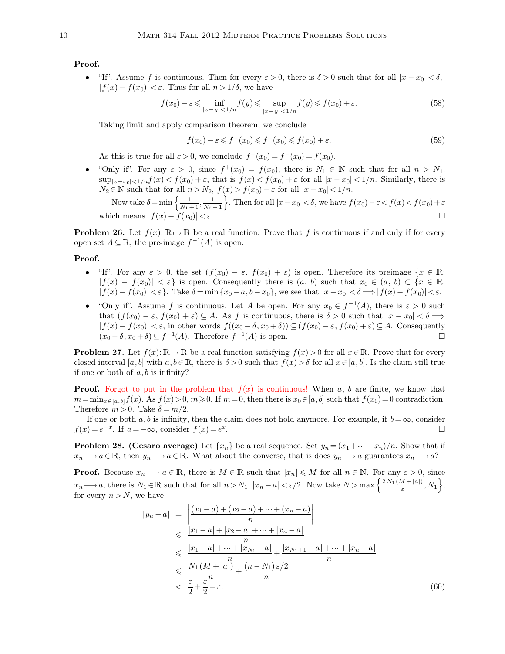**Proof.**

<sup>•</sup> If". Assume *f* is continuous. Then for every  $ε > 0$ , there is  $δ > 0$  such that for all  $|x - x_0| < δ$ ,  $|f(x) - f(x_0)| < \varepsilon$ . Thus for all  $n > 1/\delta$ , we have

$$
f(x_0) - \varepsilon \le \inf_{|x - y| < 1/n} f(y) \le \sup_{|x - y| < 1/n} f(y) \le f(x_0) + \varepsilon. \tag{58}
$$

Taking limit and apply comparison theorem, we conclude

$$
f(x_0) - \varepsilon \leqslant f^-(x_0) \leqslant f^+(x_0) \leqslant f(x_0) + \varepsilon. \tag{59}
$$

As this is true for all  $\varepsilon > 0$ , we conclude  $f^+(x_0) = f^-(x_0) = f(x_0)$ .

• "Only if". For any  $\varepsilon > 0$ , since  $f^+(x_0) = f(x_0)$ , there is  $N_1 \in \mathbb{N}$  such that for all  $n > N_1$ ,  $\sup_{|x-x_0|<1/n} f(x) < f(x_0) + \varepsilon$ , that is  $f(x) < f(x_0) + \varepsilon$  for all  $|x-x_0| < 1/n$ . Similarly, there is  $N_2 \in \mathbb{N}$  such that for all  $n > N_2$ ,  $f(x) > f(x_0) - \varepsilon$  for all  $|x - x_0| < 1/n$ .

Now take  $\delta = \min\left\{\frac{1}{N_1+1}, \frac{1}{N_2+1}\right\}$ . Then for all  $|x-x_0| < \delta$ , we have  $f(x_0) - \varepsilon < f(x) < f(x_0) + \varepsilon$ which means  $|f(x) - f(x_0)| < \varepsilon$ .

**Problem 26.** Let  $f(x): \mathbb{R} \to \mathbb{R}$  be a real function. Prove that f is continuous if and only if for every open set  $A \subseteq \mathbb{R}$ , the pre-image  $f^{-1}(A)$  is open.

**Proof.**

- "If". For any  $\varepsilon > 0$ , the set  $(f(x_0) \varepsilon, f(x_0) + \varepsilon)$  is open. Therefore its preimage  $\{x \in \mathbb{R} :$  $|f(x) - f(x_0)| < \varepsilon$  is open. Consequently there is  $(a, b)$  such that  $x_0 \in (a, b) \subset \{x \in \mathbb{R}:$  $|f(x)-f(x_0)| < \varepsilon$ . Take  $\delta = \min\{x_0 - a, b - x_0\}$ , we see that  $|x-x_0| < \delta \Longrightarrow |f(x)-f(x_0)| < \varepsilon$ .
- "Only if". Assume f is continuous. Let A be open. For any  $x_0 \in f^{-1}(A)$ , there is  $\varepsilon > 0$  such that  $(f(x_0) - \varepsilon, f(x_0) + \varepsilon) \subseteq A$ . As f is continuous, there is  $\delta > 0$  such that  $|x - x_0| < \delta \implies$  $|f(x) - f(x_0)| < \varepsilon$ , in other words  $f((x_0 - \delta, x_0 + \delta)) \subseteq (f(x_0) - \varepsilon, f(x_0) + \varepsilon) \subseteq A$ . Consequently  $(x_0 - \delta, x_0 + \delta) \subseteq f^{-1}(A)$ . Therefore  $f^{-1}(A)$  is open.  $(x_0 - \delta, x_0 + \delta) \subseteq f^{-1}(A)$ . Therefore  $f^{-1}(A)$  is open.

**Problem 27.** Let  $f(x): \mathbb{R} \to \mathbb{R}$  be a real function satisfying  $f(x) > 0$  for all  $x \in \mathbb{R}$ . Prove that for every closed interval [a, b] with  $a, b \in \mathbb{R}$ , there is  $\delta > 0$  such that  $f(x) > \delta$  for all  $x \in [a, b]$ . Is the claim still true if one or both of  $a, b$  is infinity?

**Proof.** Forgot to put in the problem that  $f(x)$  is continuous! When a, b are finite, we know that  $m=\min_{x\in[a,b]}f(x)$ . As  $f(x)>0, m\geqslant 0$ . If  $m=0$ , then there is  $x_0\in[a,b]$  such that  $f(x_0)=0$  contradiction. Therefore  $m > 0$ . Take  $\delta = m/2$ .

If one or both a, b is infinity, then the claim does not hold anymore. For example, if  $b = \infty$ , consider  $f(x) = e^x$  $f(x) = e^{-x}$ . If  $a = -\infty$ , consider  $f(x) = e^x$ .

**Problem 28. (Cesaro average)** Let  $\{x_n\}$  be a real sequence. Set  $y_n = (x_1 + \cdots + x_n)/n$ . Show that if  $x_n \longrightarrow a \in \mathbb{R}$ , then  $y_n \longrightarrow a \in \mathbb{R}$ . What about the converse, that is does  $y_n \longrightarrow a$  guarantees  $x_n \longrightarrow a$ ?

**Proof.** Because  $x_n \longrightarrow a \in \mathbb{R}$ , there is  $M \in \mathbb{R}$  such that  $|x_n| \leq M$  for all  $n \in \mathbb{N}$ . For any  $\varepsilon > 0$ , since  $x_n \longrightarrow a$ , there is  $N_1 \in \mathbb{R}$  such that for all  $n > N_1$ ,  $|x_n - a| < \varepsilon/2$ . Now take  $N > \max\left\{\frac{2 N_1 (M + |a|)}{\varepsilon}, N_1\right\}$ , for every  $n > N$ , we have

$$
|y_n - a| = \left| \frac{(x_1 - a) + (x_2 - a) + \dots + (x_n - a)}{n} \right|
$$
  
\n
$$
\leq \frac{|x_1 - a| + |x_2 - a| + \dots + |x_n - a|}{n}
$$
  
\n
$$
\leq \frac{|x_1 - a| + \dots + |x_{N_1} - a|}{n} + \frac{|x_{N_1 + 1} - a| + \dots + |x_n - a|}{n}
$$
  
\n
$$
\leq \frac{N_1 (M + |a|)}{n} + \frac{(n - N_1) \varepsilon/2}{n}
$$
  
\n
$$
< \frac{\varepsilon}{2} + \frac{\varepsilon}{2} = \varepsilon.
$$
 (60)